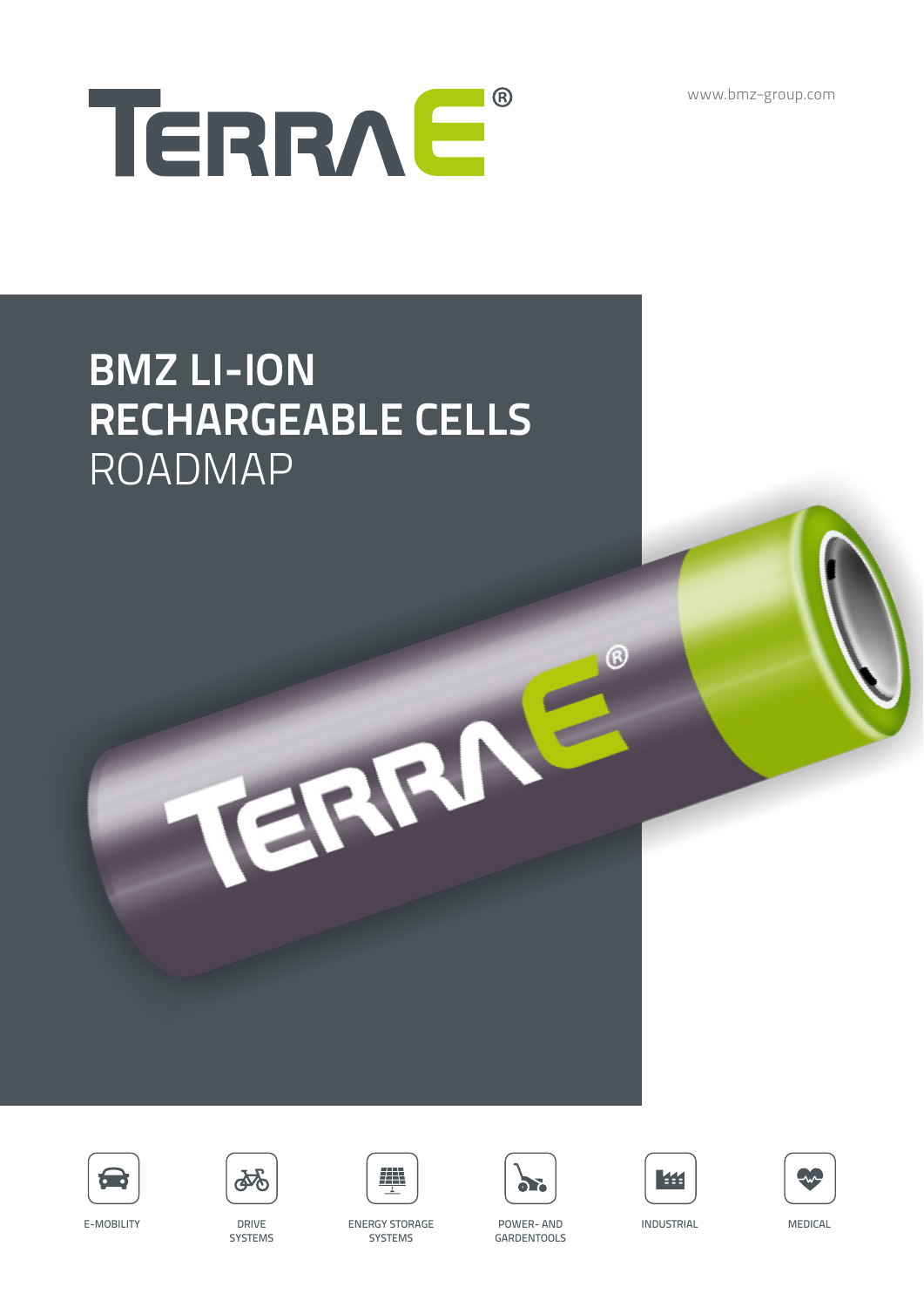www.bmz-group.com



# **BMZ LI-ION RECHARGEABLE CELLS** ROADMAP





**SYSTEMS** 



TERRIT

ENERGY STORAGE FOWER- AND INDUSTRIAL MEDICAL **SYSTEMS** 





B





E-MOBILITY DRIVE



POWER- AND GARDENTOOLS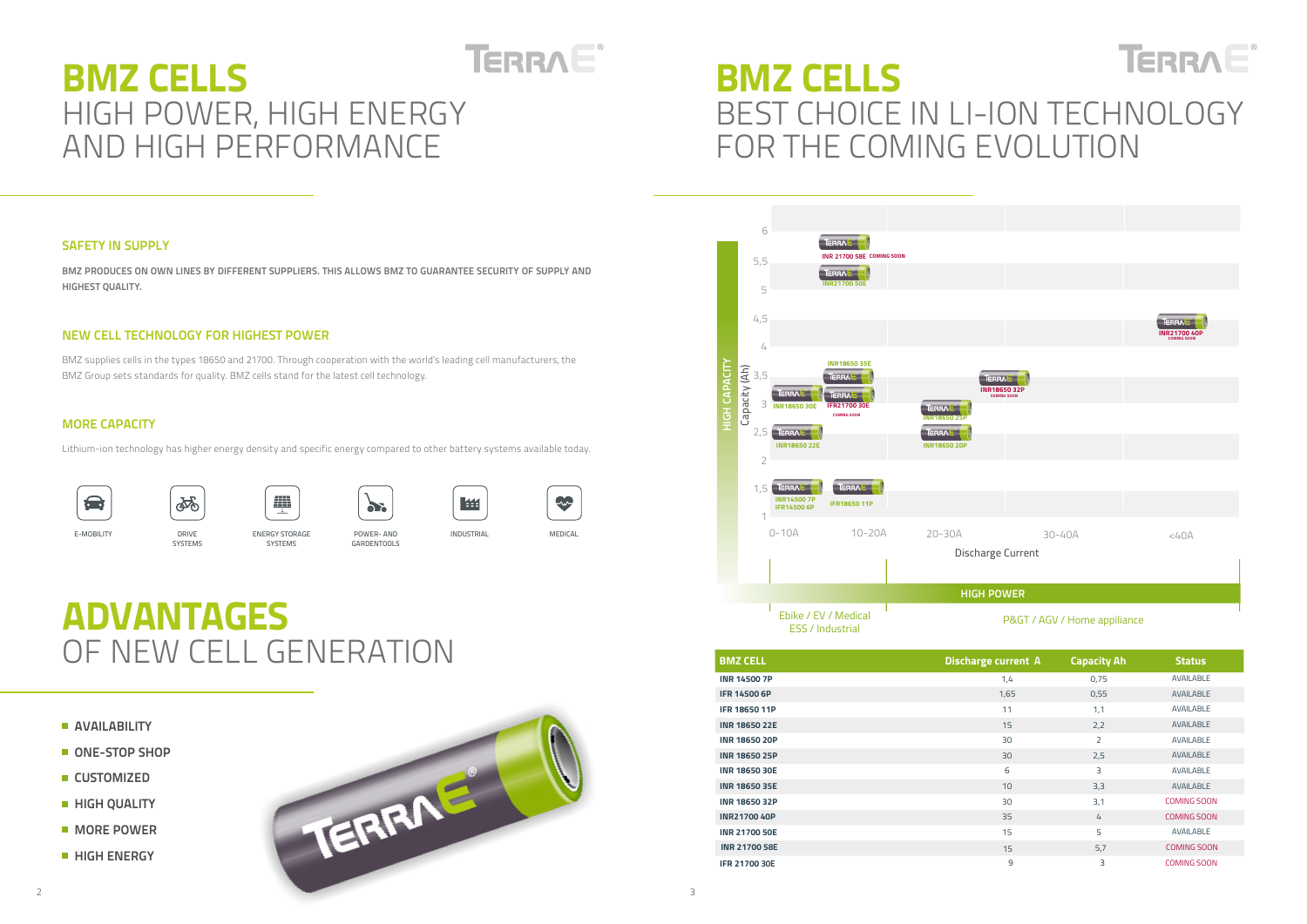## **SAFETY IN SUPPLY**

- **AVAILABILITY**
- **ONE-STOP SHOP**
- **CUSTOMIZED**
- **HIGH QUALITY**
- **MORE POWER**
- **HIGH ENERGY**

### **NEW CELL TECHNOLOGY FOR HIGHEST POWER**



# **MORE CAPACITY**

### **HIGH POWER**

# P&GT / AGV / Home appiliance

|                                             |        | <b>TERRAL</b><br>INR21700 40P<br><b>COMING SOON</b> |
|---------------------------------------------|--------|-----------------------------------------------------|
| TERRAL<br>INR1865032P<br><b>COMING SOON</b> |        |                                                     |
|                                             |        |                                                     |
|                                             |        |                                                     |
|                                             |        |                                                     |
|                                             |        |                                                     |
| arge Current                                | 30-40A | <40A<br>п                                           |

# TERRAE® **BMZ CELLS** HIGH POWER, HIGH ENERGY AND HIGH PERFORMANCE

**BMZ PRODUCES ON OWN LINES BY DIFFERENT SUPPLIERS. THIS ALLOWS BMZ TO GUARANTEE SECURITY OF SUPPLY AND HIGHEST QUALITY.**

# TERRAE® **BMZ CELLS** BEST CHOICE IN LI-ION TECHNOLOGY FOR THE COMING EVOLUTION

BMZ supplies cells in the types 18650 and 21700. Through cooperation with the world's leading cell manufacturers, the BMZ Group sets standards for quality. BMZ cells stand for the latest cell technology.

Lithium-ion technology has higher energy density and specific energy compared to other battery systems available today.



|--|

















# **ADVANTAGES** OF NEW CELL GENERATION

| <b>BMZ CELL</b>      | <b>Discharge current A</b> | <b>Capacity Ah</b> | <b>Status</b>      |
|----------------------|----------------------------|--------------------|--------------------|
| <b>INR 14500 7P</b>  | 1,4                        | 0,75               | <b>AVAILABLE</b>   |
| <b>IFR 14500 6P</b>  | 1,65                       | 0,55               | <b>AVAILABLE</b>   |
| <b>IFR 18650 11P</b> | 11                         | 1,1                | <b>AVAILABLE</b>   |
| <b>INR 18650 22E</b> | 15                         | 2,2                | <b>AVAILABLE</b>   |
| <b>INR 18650 20P</b> | 30                         | $\overline{2}$     | <b>AVAILABLE</b>   |
| <b>INR 18650 25P</b> | 30                         | 2,5                | <b>AVAILABLE</b>   |
| <b>INR 18650 30E</b> | 6                          | 3                  | <b>AVAILABLE</b>   |
| <b>INR 18650 35E</b> | 10                         | 3,3                | <b>AVAILABLE</b>   |
| <b>INR 18650 32P</b> | 30                         | 3,1                | <b>COMING SOON</b> |
| <b>INR21700 40P</b>  | 35                         | 4                  | <b>COMING SOON</b> |
| <b>INR 21700 50E</b> | 15                         | 5                  | <b>AVAILABLE</b>   |
| <b>INR 21700 58E</b> | 15                         | 5,7                | <b>COMING SOON</b> |
| <b>IFR 21700 30E</b> | $\overline{9}$             | 3                  | <b>COMING SOON</b> |

E-MOBILITY DRIVE

SYSTEMS